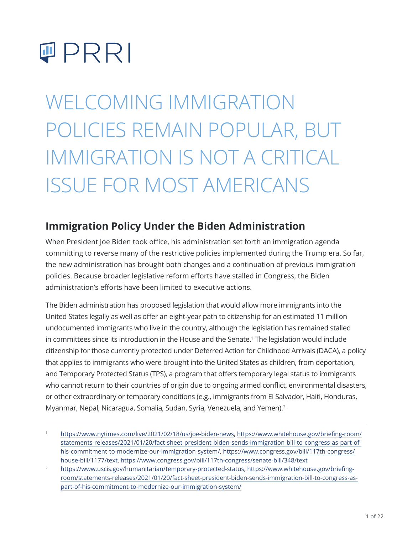

WELCOMING IMMIGRATION POLICIES REMAIN POPULAR, BUT IMMIGRATION IS NOT A CRITICAL ISSUE FOR MOST AMERICANS

# **Immigration Policy Under the Biden Administration**

When President Joe Biden took office, his administration set forth an immigration agenda committing to reverse many of the restrictive policies implemented during the Trump era. So far, the new administration has brought both changes and a continuation of previous immigration policies. Because broader legislative reform efforts have stalled in Congress, the Biden administration's efforts have been limited to executive actions.

The Biden administration has proposed legislation that would allow more immigrants into the United States legally as well as offer an eight-year path to citizenship for an estimated 11 million undocumented immigrants who live in the country, although the legislation has remained stalled in committees since its introduction in the House and the Senate.<sup>1</sup> The legislation would include citizenship for those currently protected under Deferred Action for Childhood Arrivals (DACA), a policy that applies to immigrants who were brought into the United States as children, from deportation, and Temporary Protected Status (TPS), a program that offers temporary legal status to immigrants who cannot return to their countries of origin due to ongoing armed conflict, environmental disasters, or other extraordinary or temporary conditions (e.g., immigrants from El Salvador, Haiti, Honduras, Myanmar, Nepal, Nicaragua, Somalia, Sudan, Syria, Venezuela, and Yemen).<sup>2</sup>

<sup>1</sup> <https://www.nytimes.com/live/2021/02/18/us/joe-biden-news>, [https://www.whitehouse.gov/briefing-room/](https://www.whitehouse.gov/briefing-room/statements-releases/2021/01/20/fact-sheet-president-biden-sends-immigration-bill-to-congress-as-part-of-his-commitment-to-modernize-our-immigration-system/) [statements-releases/2021/01/20/fact-sheet-president-biden-sends-immigration-bill-to-congress-as-part-of](https://www.whitehouse.gov/briefing-room/statements-releases/2021/01/20/fact-sheet-president-biden-sends-immigration-bill-to-congress-as-part-of-his-commitment-to-modernize-our-immigration-system/)[his-commitment-to-modernize-our-immigration-system/](https://www.whitehouse.gov/briefing-room/statements-releases/2021/01/20/fact-sheet-president-biden-sends-immigration-bill-to-congress-as-part-of-his-commitment-to-modernize-our-immigration-system/), [https://www.congress.gov/bill/117th-congress/](https://www.congress.gov/bill/117th-congress/house-bill/1177/text) [house-bill/1177/text](https://www.congress.gov/bill/117th-congress/house-bill/1177/text), https://www.congress.gov/bill/117th-congress/senate-bill/348/text

<sup>2</sup> <https://www.uscis.gov/humanitarian/temporary-protected-status>, [https://www.whitehouse.gov/briefing](https://www.whitehouse.gov/briefing-room/statements-releases/2021/01/20/fact-sheet-president-biden-sends-immigration-bill-to-congress-as-part-of-his-commitment-to-modernize-our-immigration-system/)[room/statements-releases/2021/01/20/fact-sheet-president-biden-sends-immigration-bill-to-congress-as](https://www.whitehouse.gov/briefing-room/statements-releases/2021/01/20/fact-sheet-president-biden-sends-immigration-bill-to-congress-as-part-of-his-commitment-to-modernize-our-immigration-system/)[part-of-his-commitment-to-modernize-our-immigration-system/](https://www.whitehouse.gov/briefing-room/statements-releases/2021/01/20/fact-sheet-president-biden-sends-immigration-bill-to-congress-as-part-of-his-commitment-to-modernize-our-immigration-system/)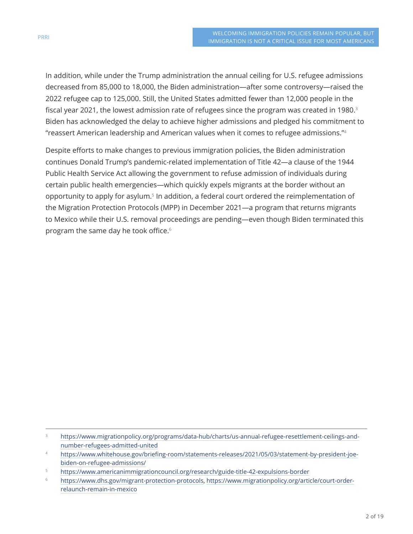In addition, while under the Trump administration the annual ceiling for U.S. refugee admissions decreased from 85,000 to 18,000, the Biden administration—after some controversy—raised the 2022 refugee cap to 125,000. Still, the United States admitted fewer than 12,000 people in the fiscal year 2021, the lowest admission rate of refugees since the program was created in 1980. $3$ Biden has acknowledged the delay to achieve higher admissions and pledged his commitment to "reassert American leadership and American values when it comes to refugee admissions." $^{\rm a}$ 

Despite efforts to make changes to previous immigration policies, the Biden administration continues Donald Trump's pandemic-related implementation of Title 42—a clause of the 1944 Public Health Service Act allowing the government to refuse admission of individuals during certain public health emergencies—which quickly expels migrants at the border without an opportunity to apply for asylum.<sup>5</sup> In addition, a federal court ordered the reimplementation of the Migration Protection Protocols (MPP) in December 2021—a program that returns migrants to Mexico while their U.S. removal proceedings are pending—even though Biden terminated this program the same day he took office.<sup>6</sup>

<sup>3</sup> [https://www.migrationpolicy.org/programs/data-hub/charts/us-annual-refugee-resettlement-ceilings-and](https://www.migrationpolicy.org/programs/data-hub/charts/us-annual-refugee-resettlement-ceilings-and-number-refugees-admitted-united)[number-refugees-admitted-united](https://www.migrationpolicy.org/programs/data-hub/charts/us-annual-refugee-resettlement-ceilings-and-number-refugees-admitted-united)

<sup>4</sup> [https://www.whitehouse.gov/briefing-room/statements-releases/2021/05/03/statement-by-president-joe](https://www.whitehouse.gov/briefing-room/statements-releases/2021/05/03/statement-by-president-joe-biden-on-refugee-admissions/)[biden-on-refugee-admissions/](https://www.whitehouse.gov/briefing-room/statements-releases/2021/05/03/statement-by-president-joe-biden-on-refugee-admissions/)

<sup>5</sup> <https://www.americanimmigrationcouncil.org/research/guide-title-42-expulsions-border>

<sup>6</sup> [https://www.dhs.gov/migrant-protection-protocols,](https://www.dhs.gov/migrant-protection-protocols) [https://www.migrationpolicy.org/article/court-order](https://www.migrationpolicy.org/article/court-order-relaunch-remain-in-mexico)[relaunch-remain-in-mexico](https://www.migrationpolicy.org/article/court-order-relaunch-remain-in-mexico)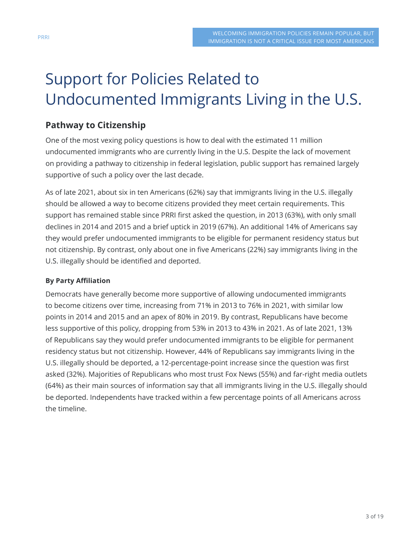# Support for Policies Related to Undocumented Immigrants Living in the U.S.

## **Pathway to Citizenship**

One of the most vexing policy questions is how to deal with the estimated 11 million undocumented immigrants who are currently living in the U.S. Despite the lack of movement on providing a pathway to citizenship in federal legislation, public support has remained largely supportive of such a policy over the last decade.

As of late 2021, about six in ten Americans (62%) say that immigrants living in the U.S. illegally should be allowed a way to become citizens provided they meet certain requirements. This support has remained stable since PRRI first asked the question, in 2013 (63%), with only small declines in 2014 and 2015 and a brief uptick in 2019 (67%). An additional 14% of Americans say they would prefer undocumented immigrants to be eligible for permanent residency status but not citizenship. By contrast, only about one in five Americans (22%) say immigrants living in the U.S. illegally should be identified and deported.

#### **By Party Affiliation**

Democrats have generally become more supportive of allowing undocumented immigrants to become citizens over time, increasing from 71% in 2013 to 76% in 2021, with similar low points in 2014 and 2015 and an apex of 80% in 2019. By contrast, Republicans have become less supportive of this policy, dropping from 53% in 2013 to 43% in 2021. As of late 2021, 13% of Republicans say they would prefer undocumented immigrants to be eligible for permanent residency status but not citizenship. However, 44% of Republicans say immigrants living in the U.S. illegally should be deported, a 12-percentage-point increase since the question was first asked (32%). Majorities of Republicans who most trust Fox News (55%) and far-right media outlets (64%) as their main sources of information say that all immigrants living in the U.S. illegally should be deported. Independents have tracked within a few percentage points of all Americans across the timeline.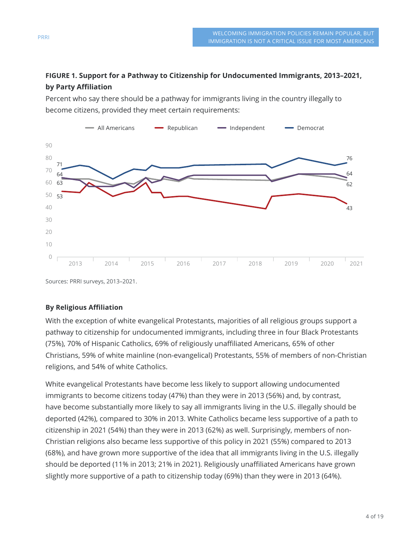#### **FIGURE 1. Support for a Pathway to Citizenship for Undocumented Immigrants, 2013–2021, by Party Affiliation**

Percent who say there should be a pathway for immigrants living in the country illegally to become citizens, provided they meet certain requirements:



Sources: PRRI surveys, 2013–2021.

#### **By Religious Affiliation**

With the exception of white evangelical Protestants, majorities of all religious groups support a pathway to citizenship for undocumented immigrants, including three in four Black Protestants (75%), 70% of Hispanic Catholics, 69% of religiously unaffiliated Americans, 65% of other Christians, 59% of white mainline (non-evangelical) Protestants, 55% of members of non-Christian religions, and 54% of white Catholics.

White evangelical Protestants have become less likely to support allowing undocumented immigrants to become citizens today (47%) than they were in 2013 (56%) and, by contrast, have become substantially more likely to say all immigrants living in the U.S. illegally should be deported (42%), compared to 30% in 2013. White Catholics became less supportive of a path to citizenship in 2021 (54%) than they were in 2013 (62%) as well. Surprisingly, members of non-Christian religions also became less supportive of this policy in 2021 (55%) compared to 2013 (68%), and have grown more supportive of the idea that all immigrants living in the U.S. illegally should be deported (11% in 2013; 21% in 2021). Religiously unaffiliated Americans have grown slightly more supportive of a path to citizenship today (69%) than they were in 2013 (64%).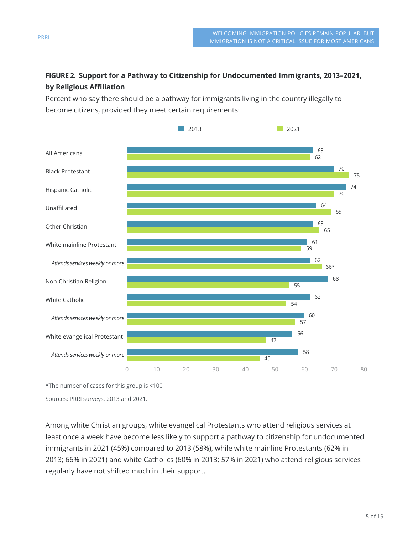### **FIGURE 2. Support for a Pathway to Citizenship for Undocumented Immigrants, 2013–2021, by Religious Affiliation**

Percent who say there should be a pathway for immigrants living in the country illegally to become citizens, provided they meet certain requirements:



\*The number of cases for this group is <100

Sources: PRRI surveys, 2013 and 2021.

Among white Christian groups, white evangelical Protestants who attend religious services at least once a week have become less likely to support a pathway to citizenship for undocumented immigrants in 2021 (45%) compared to 2013 (58%), while white mainline Protestants (62% in 2013; 66% in 2021) and white Catholics (60% in 2013; 57% in 2021) who attend religious services regularly have not shifted much in their support.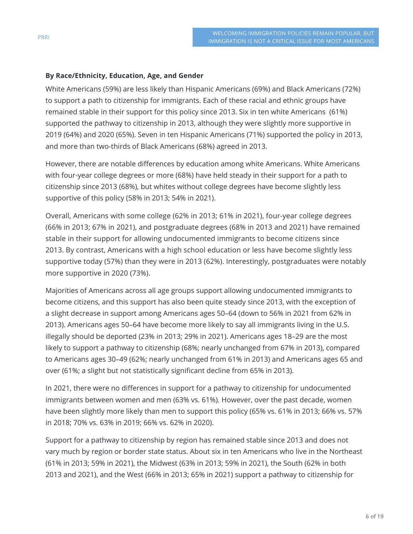#### **By Race/Ethnicity, Education, Age, and Gender**

White Americans (59%) are less likely than Hispanic Americans (69%) and Black Americans (72%) to support a path to citizenship for immigrants. Each of these racial and ethnic groups have remained stable in their support for this policy since 2013. Six in ten white Americans (61%) supported the pathway to citizenship in 2013, although they were slightly more supportive in 2019 (64%) and 2020 (65%). Seven in ten Hispanic Americans (71%) supported the policy in 2013, and more than two-thirds of Black Americans (68%) agreed in 2013.

However, there are notable differences by education among white Americans. White Americans with four-year college degrees or more (68%) have held steady in their support for a path to citizenship since 2013 (68%), but whites without college degrees have become slightly less supportive of this policy (58% in 2013; 54% in 2021).

Overall, Americans with some college (62% in 2013; 61% in 2021), four-year college degrees (66% in 2013; 67% in 2021), and postgraduate degrees (68% in 2013 and 2021) have remained stable in their support for allowing undocumented immigrants to become citizens since 2013. By contrast, Americans with a high school education or less have become slightly less supportive today (57%) than they were in 2013 (62%). Interestingly, postgraduates were notably more supportive in 2020 (73%).

Majorities of Americans across all age groups support allowing undocumented immigrants to become citizens, and this support has also been quite steady since 2013, with the exception of a slight decrease in support among Americans ages 50–64 (down to 56% in 2021 from 62% in 2013). Americans ages 50–64 have become more likely to say all immigrants living in the U.S. illegally should be deported (23% in 2013; 29% in 2021). Americans ages 18–29 are the most likely to support a pathway to citizenship (68%; nearly unchanged from 67% in 2013), compared to Americans ages 30–49 (62%; nearly unchanged from 61% in 2013) and Americans ages 65 and over (61%; a slight but not statistically significant decline from 65% in 2013).

In 2021, there were no differences in support for a pathway to citizenship for undocumented immigrants between women and men (63% vs. 61%). However, over the past decade, women have been slightly more likely than men to support this policy (65% vs. 61% in 2013; 66% vs. 57% in 2018; 70% vs. 63% in 2019; 66% vs. 62% in 2020).

Support for a pathway to citizenship by region has remained stable since 2013 and does not vary much by region or border state status. About six in ten Americans who live in the Northeast (61% in 2013; 59% in 2021), the Midwest (63% in 2013; 59% in 2021), the South (62% in both 2013 and 2021), and the West (66% in 2013; 65% in 2021) support a pathway to citizenship for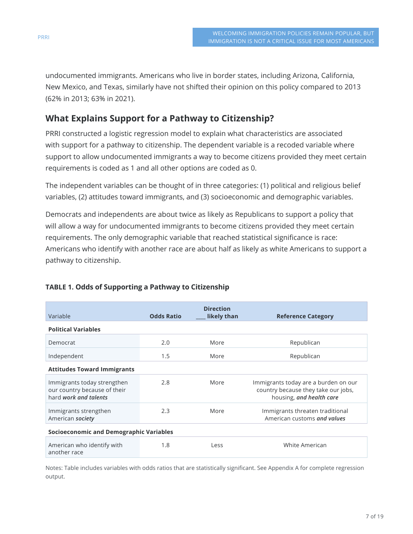undocumented immigrants. Americans who live in border states, including Arizona, California, New Mexico, and Texas, similarly have not shifted their opinion on this policy compared to 2013 (62% in 2013; 63% in 2021).

## **What Explains Support for a Pathway to Citizenship?**

PRRI constructed a logistic regression model to explain what characteristics are associated with support for a pathway to citizenship. The dependent variable is a recoded variable where support to allow undocumented immigrants a way to become citizens provided they meet certain requirements is coded as 1 and all other options are coded as 0.

The independent variables can be thought of in three categories: (1) political and religious belief variables, (2) attitudes toward immigrants, and (3) socioeconomic and demographic variables.

Democrats and independents are about twice as likely as Republicans to support a policy that will allow a way for undocumented immigrants to become citizens provided they meet certain requirements. The only demographic variable that reached statistical significance is race: Americans who identify with another race are about half as likely as white Americans to support a pathway to citizenship.

| Variable                                                                             | <b>Odds Ratio</b> | <b>Direction</b><br>likely than | <b>Reference Category</b>                                                                               |  |  |  |  |
|--------------------------------------------------------------------------------------|-------------------|---------------------------------|---------------------------------------------------------------------------------------------------------|--|--|--|--|
| <b>Political Variables</b>                                                           |                   |                                 |                                                                                                         |  |  |  |  |
| Democrat                                                                             | 2.0               | More                            | Republican                                                                                              |  |  |  |  |
| Independent                                                                          | 1.5               | More                            | Republican                                                                                              |  |  |  |  |
| <b>Attitudes Toward Immigrants</b>                                                   |                   |                                 |                                                                                                         |  |  |  |  |
| Immigrants today strengthen<br>our country because of their<br>hard work and talents | 2.8               | More                            | Immigrants today are a burden on our<br>country because they take our jobs,<br>housing, and health care |  |  |  |  |
| Immigrants strengthen<br>American society                                            | 2.3               | More                            | Immigrants threaten traditional<br>American customs and values                                          |  |  |  |  |
| <b>Socioeconomic and Demographic Variables</b>                                       |                   |                                 |                                                                                                         |  |  |  |  |
| American who identify with<br>another race                                           | 1.8               | Less                            | White American                                                                                          |  |  |  |  |

#### **TABLE 1. Odds of Supporting a Pathway to Citizenship**

Notes: Table includes variables with odds ratios that are statistically significant. See Appendix A for complete regression output.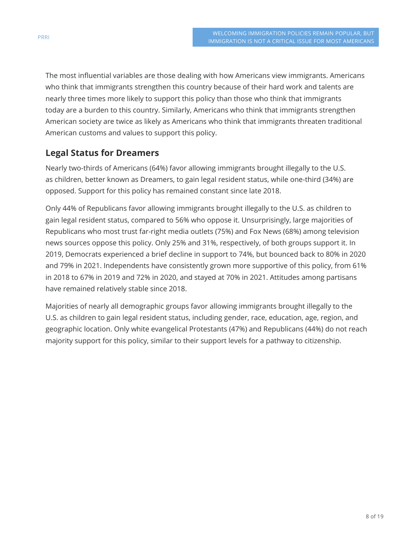The most influential variables are those dealing with how Americans view immigrants. Americans who think that immigrants strengthen this country because of their hard work and talents are nearly three times more likely to support this policy than those who think that immigrants today are a burden to this country. Similarly, Americans who think that immigrants strengthen American society are twice as likely as Americans who think that immigrants threaten traditional American customs and values to support this policy.

### **Legal Status for Dreamers**

Nearly two-thirds of Americans (64%) favor allowing immigrants brought illegally to the U.S. as children, better known as Dreamers, to gain legal resident status, while one-third (34%) are opposed. Support for this policy has remained constant since late 2018.

Only 44% of Republicans favor allowing immigrants brought illegally to the U.S. as children to gain legal resident status, compared to 56% who oppose it. Unsurprisingly, large majorities of Republicans who most trust far-right media outlets (75%) and Fox News (68%) among television news sources oppose this policy. Only 25% and 31%, respectively, of both groups support it. In 2019, Democrats experienced a brief decline in support to 74%, but bounced back to 80% in 2020 and 79% in 2021. Independents have consistently grown more supportive of this policy, from 61% in 2018 to 67% in 2019 and 72% in 2020, and stayed at 70% in 2021. Attitudes among partisans have remained relatively stable since 2018.

Majorities of nearly all demographic groups favor allowing immigrants brought illegally to the U.S. as children to gain legal resident status, including gender, race, education, age, region, and geographic location. Only white evangelical Protestants (47%) and Republicans (44%) do not reach majority support for this policy, similar to their support levels for a pathway to citizenship.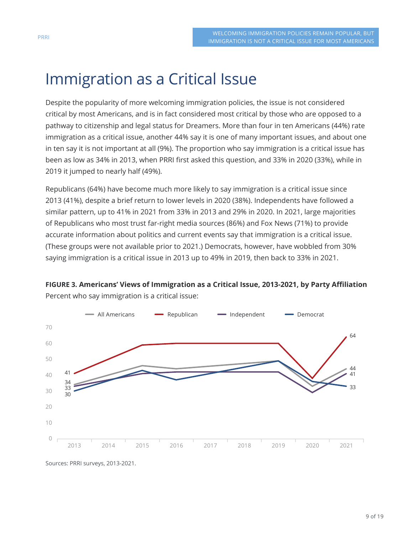# Immigration as a Critical Issue

Despite the popularity of more welcoming immigration policies, the issue is not considered critical by most Americans, and is in fact considered most critical by those who are opposed to a pathway to citizenship and legal status for Dreamers. More than four in ten Americans (44%) rate immigration as a critical issue, another 44% say it is one of many important issues, and about one in ten say it is not important at all (9%). The proportion who say immigration is a critical issue has been as low as 34% in 2013, when PRRI first asked this question, and 33% in 2020 (33%), while in 2019 it jumped to nearly half (49%).

Republicans (64%) have become much more likely to say immigration is a critical issue since 2013 (41%), despite a brief return to lower levels in 2020 (38%). Independents have followed a similar pattern, up to 41% in 2021 from 33% in 2013 and 29% in 2020. In 2021, large majorities of Republicans who most trust far-right media sources (86%) and Fox News (71%) to provide accurate information about politics and current events say that immigration is a critical issue. (These groups were not available prior to 2021.) Democrats, however, have wobbled from 30% saying immigration is a critical issue in 2013 up to 49% in 2019, then back to 33% in 2021.



**FIGURE 3. Americans' Views of Immigration as a Critical Issue, 2013-2021, by Party Affiliation** Percent who say immigration is a critical issue:

Sources: PRRI surveys, 2013-2021.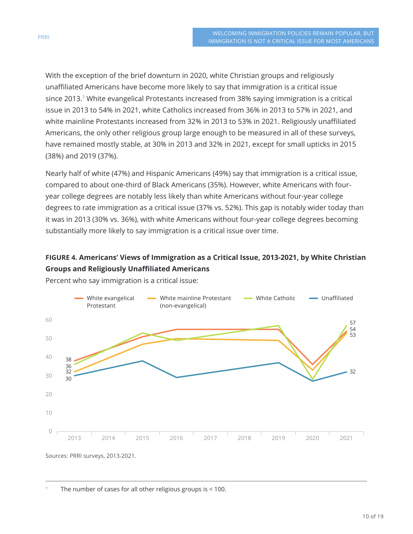With the exception of the brief downturn in 2020, white Christian groups and religiously unaffiliated Americans have become more likely to say that immigration is a critical issue since 2013.<sup>7</sup> White evangelical Protestants increased from 38% saying immigration is a critical issue in 2013 to 54% in 2021, white Catholics increased from 36% in 2013 to 57% in 2021, and white mainline Protestants increased from 32% in 2013 to 53% in 2021. Religiously unaffiliated Americans, the only other religious group large enough to be measured in all of these surveys, have remained mostly stable, at 30% in 2013 and 32% in 2021, except for small upticks in 2015 (38%) and 2019 (37%).

Nearly half of white (47%) and Hispanic Americans (49%) say that immigration is a critical issue, compared to about one-third of Black Americans (35%). However, white Americans with fouryear college degrees are notably less likely than white Americans without four-year college degrees to rate immigration as a critical issue (37% vs. 52%). This gap is notably wider today than it was in 2013 (30% vs. 36%), with white Americans without four-year college degrees becoming substantially more likely to say immigration is a critical issue over time.

#### **FIGURE 4. Americans' Views of Immigration as a Critical Issue, 2013-2021, by White Christian Groups and Religiously Unaffiliated Americans**



Percent who say immigration is a critical issue:

<sup>7</sup> The number of cases for all other religious groups is < 100.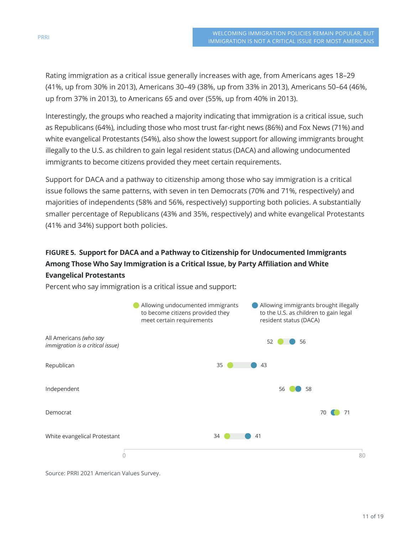Rating immigration as a critical issue generally increases with age, from Americans ages 18–29 (41%, up from 30% in 2013), Americans 30–49 (38%, up from 33% in 2013), Americans 50–64 (46%, up from 37% in 2013), to Americans 65 and over (55%, up from 40% in 2013).

Interestingly, the groups who reached a majority indicating that immigration is a critical issue, such as Republicans (64%), including those who most trust far-right news (86%) and Fox News (71%) and white evangelical Protestants (54%), also show the lowest support for allowing immigrants brought illegally to the U.S. as children to gain legal resident status (DACA) and allowing undocumented immigrants to become citizens provided they meet certain requirements.

Support for DACA and a pathway to citizenship among those who say immigration is a critical issue follows the same patterns, with seven in ten Democrats (70% and 71%, respectively) and majorities of independents (58% and 56%, respectively) supporting both policies. A substantially smaller percentage of Republicans (43% and 35%, respectively) and white evangelical Protestants (41% and 34%) support both policies.

## **FIGURE 5. Support for DACA and a Pathway to Citizenship for Undocumented Immigrants Among Those Who Say Immigration is a Critical Issue, by Party Affiliation and White Evangelical Protestants**



Percent who say immigration is a critical issue and support:

Source: PRRI 2021 American Values Survey.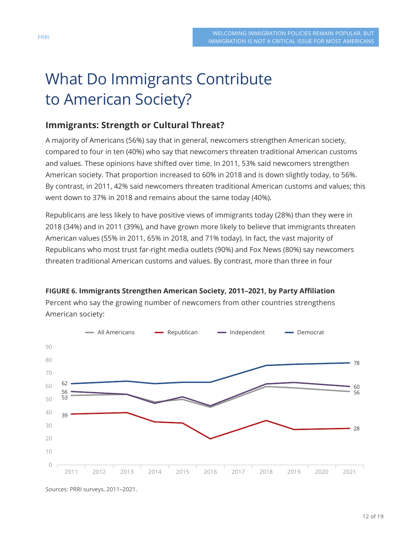# What Do Immigrants Contribute to American Society?

#### **Immigrants: Strength or Cultural Threat?**

A majority of Americans (56%) say that in general, newcomers strengthen American society, compared to four in ten (40%) who say that newcomers threaten traditional American customs and values. These opinions have shifted over time. In 2011, 53% said newcomers strengthen American society. That proportion increased to 60% in 2018 and is down slightly today, to 56%. By contrast, in 2011, 42% said newcomers threaten traditional American customs and values; this went down to 37% in 2018 and remains about the same today (40%).

Republicans are less likely to have positive views of immigrants today (28%) than they were in 2018 (34%) and in 2011 (39%), and have grown more likely to believe that immigrants threaten American values (55% in 2011, 65% in 2018, and 71% today). In fact, the vast majority of Republicans who most trust far-right media outlets (90%) and Fox News (80%) say newcomers threaten traditional American customs and values. By contrast, more than three in four

#### **FIGURE 6. Immigrants Strengthen American Society, 2011–2021, by Party Affiliation**

Percent who say the growing number of newcomers from other countries strengthens American society:



Sources: PRRI surveys, 2011–2021.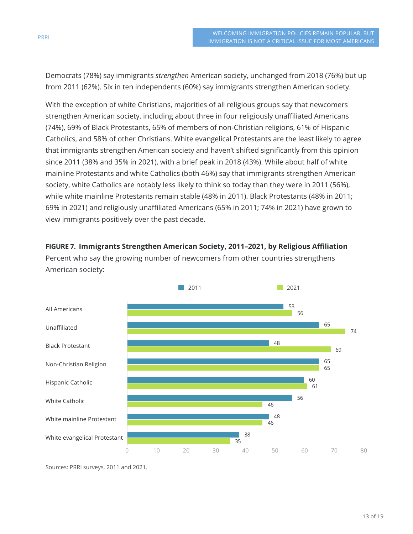Democrats (78%) say immigrants *strengthen* American society, unchanged from 2018 (76%) but up from 2011 (62%). Six in ten independents (60%) say immigrants strengthen American society.

With the exception of white Christians, majorities of all religious groups say that newcomers strengthen American society, including about three in four religiously unaffiliated Americans (74%), 69% of Black Protestants, 65% of members of non-Christian religions, 61% of Hispanic Catholics, and 58% of other Christians. White evangelical Protestants are the least likely to agree that immigrants strengthen American society and haven't shifted significantly from this opinion since 2011 (38% and 35% in 2021), with a brief peak in 2018 (43%). While about half of white mainline Protestants and white Catholics (both 46%) say that immigrants strengthen American society, white Catholics are notably less likely to think so today than they were in 2011 (56%), while white mainline Protestants remain stable (48% in 2011). Black Protestants (48% in 2011; 69% in 2021) and religiously unaffiliated Americans (65% in 2011; 74% in 2021) have grown to view immigrants positively over the past decade.

**FIGURE 7. Immigrants Strengthen American Society, 2011–2021, by Religious Affiliation** Percent who say the growing number of newcomers from other countries strengthens American society:



Sources: PRRI surveys, 2011 and 2021.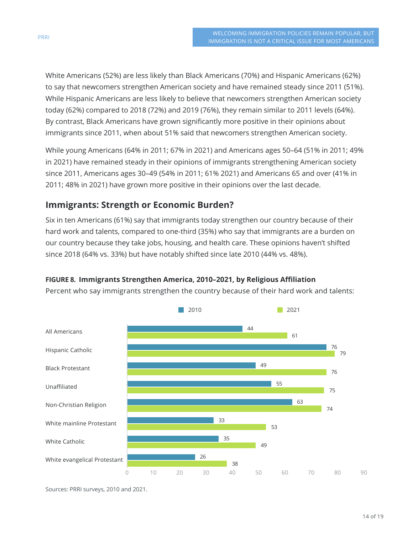White Americans (52%) are less likely than Black Americans (70%) and Hispanic Americans (62%) to say that newcomers strengthen American society and have remained steady since 2011 (51%). While Hispanic Americans are less likely to believe that newcomers strengthen American society today (62%) compared to 2018 (72%) and 2019 (76%), they remain similar to 2011 levels (64%). By contrast, Black Americans have grown significantly more positive in their opinions about immigrants since 2011, when about 51% said that newcomers strengthen American society.

While young Americans (64% in 2011; 67% in 2021) and Americans ages 50–64 (51% in 2011; 49% in 2021) have remained steady in their opinions of immigrants strengthening American society since 2011, Americans ages 30–49 (54% in 2011; 61% 2021) and Americans 65 and over (41% in 2011; 48% in 2021) have grown more positive in their opinions over the last decade.

### **Immigrants: Strength or Economic Burden?**

Six in ten Americans (61%) say that immigrants today strengthen our country because of their hard work and talents, compared to one-third (35%) who say that immigrants are a burden on our country because they take jobs, housing, and health care. These opinions haven't shifted since 2018 (64% vs. 33%) but have notably shifted since late 2010 (44% vs. 48%).

#### **FIGURE 8. Immigrants Strengthen America, 2010–2021, by Religious Affiliation**

Percent who say immigrants strengthen the country because of their hard work and talents:



Sources: PRRI surveys, 2010 and 2021.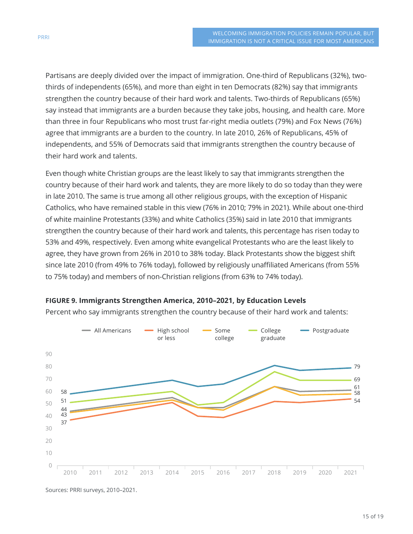Partisans are deeply divided over the impact of immigration. One-third of Republicans (32%), twothirds of independents (65%), and more than eight in ten Democrats (82%) say that immigrants strengthen the country because of their hard work and talents. Two-thirds of Republicans (65%) say instead that immigrants are a burden because they take jobs, housing, and health care. More than three in four Republicans who most trust far-right media outlets (79%) and Fox News (76%) agree that immigrants are a burden to the country. In late 2010, 26% of Republicans, 45% of independents, and 55% of Democrats said that immigrants strengthen the country because of their hard work and talents.

Even though white Christian groups are the least likely to say that immigrants strengthen the country because of their hard work and talents, they are more likely to do so today than they were in late 2010. The same is true among all other religious groups, with the exception of Hispanic Catholics, who have remained stable in this view (76% in 2010; 79% in 2021). While about one-third of white mainline Protestants (33%) and white Catholics (35%) said in late 2010 that immigrants strengthen the country because of their hard work and talents, this percentage has risen today to 53% and 49%, respectively. Even among white evangelical Protestants who are the least likely to agree, they have grown from 26% in 2010 to 38% today. Black Protestants show the biggest shift since late 2010 (from 49% to 76% today), followed by religiously unaffiliated Americans (from 55% to 75% today) and members of non-Christian religions (from 63% to 74% today).



#### **FIGURE 9. Immigrants Strengthen America, 2010–2021, by Education Levels**

Percent who say immigrants strengthen the country because of their hard work and talents:

Sources: PRRI surveys, 2010–2021.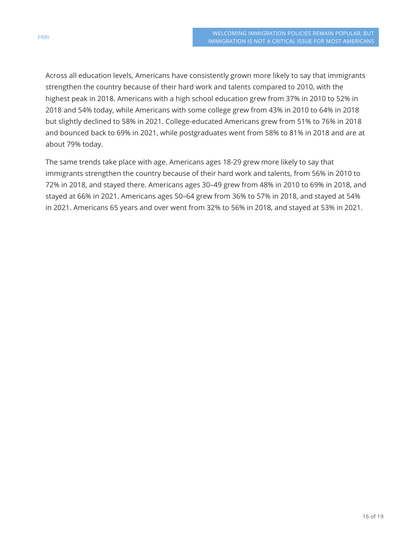Across all education levels, Americans have consistently grown more likely to say that immigrants strengthen the country because of their hard work and talents compared to 2010, with the highest peak in 2018. Americans with a high school education grew from 37% in 2010 to 52% in 2018 and 54% today, while Americans with some college grew from 43% in 2010 to 64% in 2018 but slightly declined to 58% in 2021. College-educated Americans grew from 51% to 76% in 2018 and bounced back to 69% in 2021, while postgraduates went from 58% to 81% in 2018 and are at about 79% today.

The same trends take place with age. Americans ages 18-29 grew more likely to say that immigrants strengthen the country because of their hard work and talents, from 56% in 2010 to 72% in 2018, and stayed there. Americans ages 30–49 grew from 48% in 2010 to 69% in 2018, and stayed at 66% in 2021. Americans ages 50–64 grew from 36% to 57% in 2018, and stayed at 54% in 2021. Americans 65 years and over went from 32% to 56% in 2018, and stayed at 53% in 2021.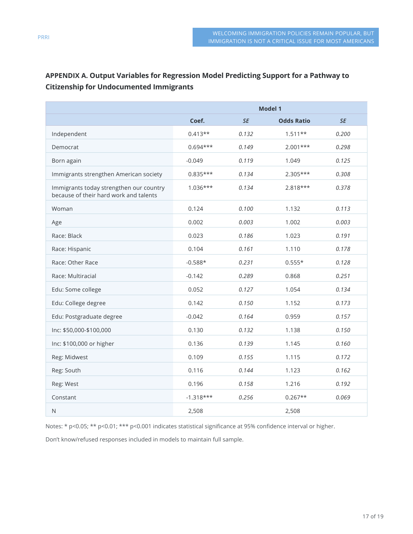#### **APPENDIX A. Output Variables for Regression Model Predicting Support for a Pathway to Citizenship for Undocumented Immigrants**

|                                                                                   | <b>Model 1</b> |           |                   |       |
|-----------------------------------------------------------------------------------|----------------|-----------|-------------------|-------|
|                                                                                   | Coef.          | <b>SE</b> | <b>Odds Ratio</b> | SE    |
| Independent                                                                       | $0.413**$      | 0.132     | $1.511**$         | 0.200 |
| Democrat                                                                          | $0.694***$     | 0.149     | $2.001***$        | 0.298 |
| Born again                                                                        | $-0.049$       | 0.119     | 1.049             | 0.125 |
| Immigrants strengthen American society                                            | $0.835***$     | 0.134     | $2.305***$        | 0.308 |
| Immigrants today strengthen our country<br>because of their hard work and talents | $1.036***$     | 0.134     | $2.818***$        | 0.378 |
| Woman                                                                             | 0.124          | 0.100     | 1.132             | 0.113 |
| Age                                                                               | 0.002          | 0.003     | 1.002             | 0.003 |
| Race: Black                                                                       | 0.023          | 0.186     | 1.023             | 0.191 |
| Race: Hispanic                                                                    | 0.104          | 0.161     | 1.110             | 0.178 |
| Race: Other Race                                                                  | $-0.588*$      | 0.231     | $0.555*$          | 0.128 |
| Race: Multiracial                                                                 | $-0.142$       | 0.289     | 0.868             | 0.251 |
| Edu: Some college                                                                 | 0.052          | 0.127     | 1.054             | 0.134 |
| Edu: College degree                                                               | 0.142          | 0.150     | 1.152             | 0.173 |
| Edu: Postgraduate degree                                                          | $-0.042$       | 0.164     | 0.959             | 0.157 |
| Inc: \$50,000-\$100,000                                                           | 0.130          | 0.132     | 1.138             | 0.150 |
| Inc: \$100,000 or higher                                                          | 0.136          | 0.139     | 1.145             | 0.160 |
| Reg: Midwest                                                                      | 0.109          | 0.155     | 1.115             | 0.172 |
| Reg: South                                                                        | 0.116          | 0.144     | 1.123             | 0.162 |
| Reg: West                                                                         | 0.196          | 0.158     | 1.216             | 0.192 |
| Constant                                                                          | $-1.318***$    | 0.256     | $0.267**$         | 0.069 |
| $\mathsf N$                                                                       | 2,508          |           | 2,508             |       |

Notes: \* p<0.05; \*\* p<0.01; \*\*\* p<0.001 indicates statistical significance at 95% confidence interval or higher.

Don't know/refused responses included in models to maintain full sample.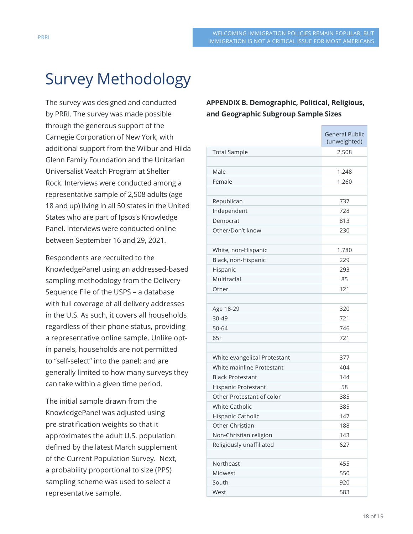# Survey Methodology

The survey was designed and conducted by PRRI. The survey was made possible through the generous support of the Carnegie Corporation of New York, with additional support from the Wilbur and Hilda Glenn Family Foundation and the Unitarian Universalist Veatch Program at Shelter Rock. Interviews were conducted among a representative sample of 2,508 adults (age 18 and up) living in all 50 states in the United States who are part of Ipsos's Knowledge Panel. Interviews were conducted online between September 16 and 29, 2021.

Respondents are recruited to the KnowledgePanel using an addressed-based sampling methodology from the Delivery Sequence File of the USPS – a database with full coverage of all delivery addresses in the U.S. As such, it covers all households regardless of their phone status, providing a representative online sample. Unlike optin panels, households are not permitted to "self-select" into the panel; and are generally limited to how many surveys they can take within a given time period.

The initial sample drawn from the KnowledgePanel was adjusted using pre-stratification weights so that it approximates the adult U.S. population defined by the latest March supplement of the Current Population Survey. Next, a probability proportional to size (PPS) sampling scheme was used to select a representative sample.

**APPENDIX B. Demographic, Political, Religious, and Geographic Subgroup Sample Sizes**

|                              | <b>General Public</b><br>(unweighted) |  |
|------------------------------|---------------------------------------|--|
| <b>Total Sample</b>          | 2,508                                 |  |
|                              |                                       |  |
| Male                         | 1,248                                 |  |
| Female                       | 1,260                                 |  |
|                              |                                       |  |
| Republican                   | 737                                   |  |
| Independent                  | 728                                   |  |
| Democrat                     | 813                                   |  |
| Other/Don't know             | 230                                   |  |
|                              |                                       |  |
| White, non-Hispanic          | 1,780                                 |  |
| Black, non-Hispanic          | 229                                   |  |
| Hispanic                     | 293                                   |  |
| Multiracial                  | 85                                    |  |
| Other                        | 121                                   |  |
|                              |                                       |  |
| Age 18-29                    | 320                                   |  |
| 30-49                        | 721                                   |  |
| 50-64                        | 746                                   |  |
| $65+$                        | 721                                   |  |
|                              |                                       |  |
| White evangelical Protestant | 377                                   |  |
| White mainline Protestant    | 404                                   |  |
| <b>Black Protestant</b>      | 144                                   |  |
| Hispanic Protestant          | 58                                    |  |
| Other Protestant of color    | 385                                   |  |
| <b>White Catholic</b>        | 385                                   |  |
| Hispanic Catholic            | 147                                   |  |
| Other Christian              | 188                                   |  |
| Non-Christian religion       | 143                                   |  |
| Religiously unaffiliated     | 627                                   |  |
|                              |                                       |  |
| Northeast                    | 455                                   |  |
| Midwest                      | 550                                   |  |
| South                        | 920                                   |  |
| West                         | 583                                   |  |